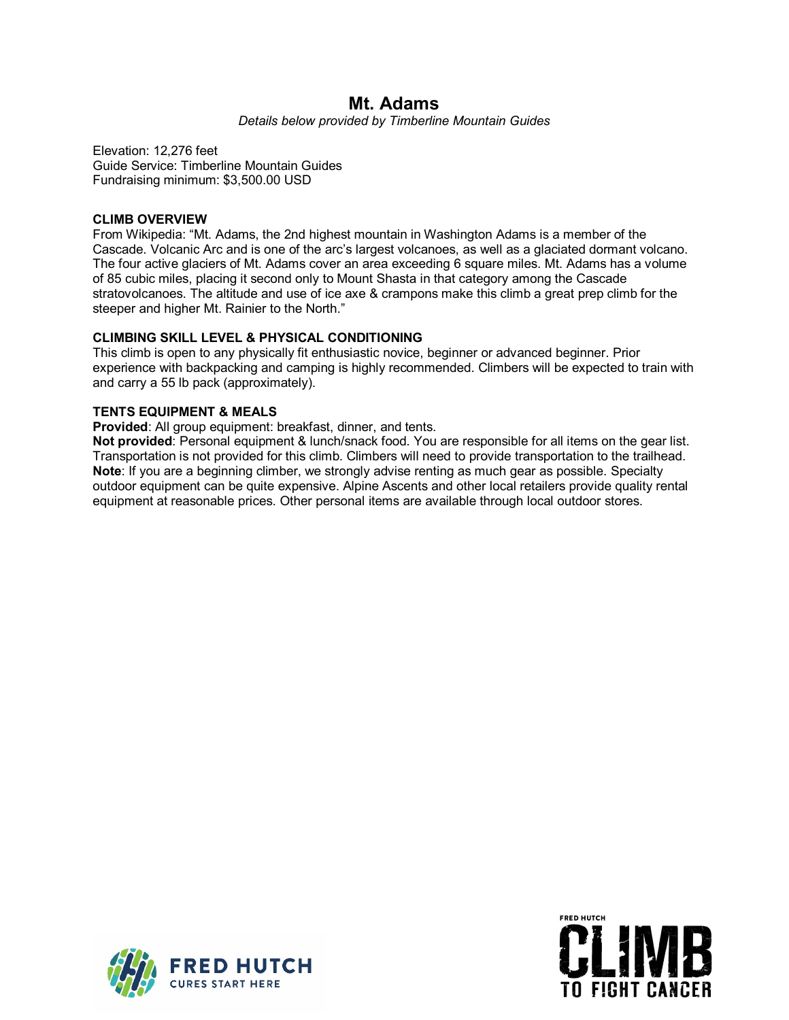# **Mt. Adams**

*Details below provided by Timberline Mountain Guides*

Elevation: 12,276 feet Guide Service: Timberline Mountain Guides Fundraising minimum: \$3,500.00 USD

## **CLIMB OVERVIEW**

From Wikipedia: "Mt. Adams, the 2nd highest mountain in Washington Adams is a member of the Cascade. Volcanic Arc and is one of the arc's largest volcanoes, as well as a glaciated dormant volcano. The four active glaciers of Mt. Adams cover an area exceeding 6 square miles. Mt. Adams has a volume of 85 cubic miles, placing it second only to Mount Shasta in that category among the Cascade stratovolcanoes. The altitude and use of ice axe & crampons make this climb a great prep climb for the steeper and higher Mt. Rainier to the North."

## **CLIMBING SKILL LEVEL & PHYSICAL CONDITIONING**

This climb is open to any physically fit enthusiastic novice, beginner or advanced beginner. Prior experience with backpacking and camping is highly recommended. Climbers will be expected to train with and carry a 55 lb pack (approximately).

# **TENTS EQUIPMENT & MEALS**

**Provided**: All group equipment: breakfast, dinner, and tents.

**Not provided**: Personal equipment & lunch/snack food. You are responsible for all items on the gear list. Transportation is not provided for this climb. Climbers will need to provide transportation to the trailhead. **Note**: If you are a beginning climber, we strongly advise renting as much gear as possible. Specialty outdoor equipment can be quite expensive. Alpine Ascents and other local retailers provide quality rental equipment at reasonable prices. Other personal items are available through local outdoor stores.



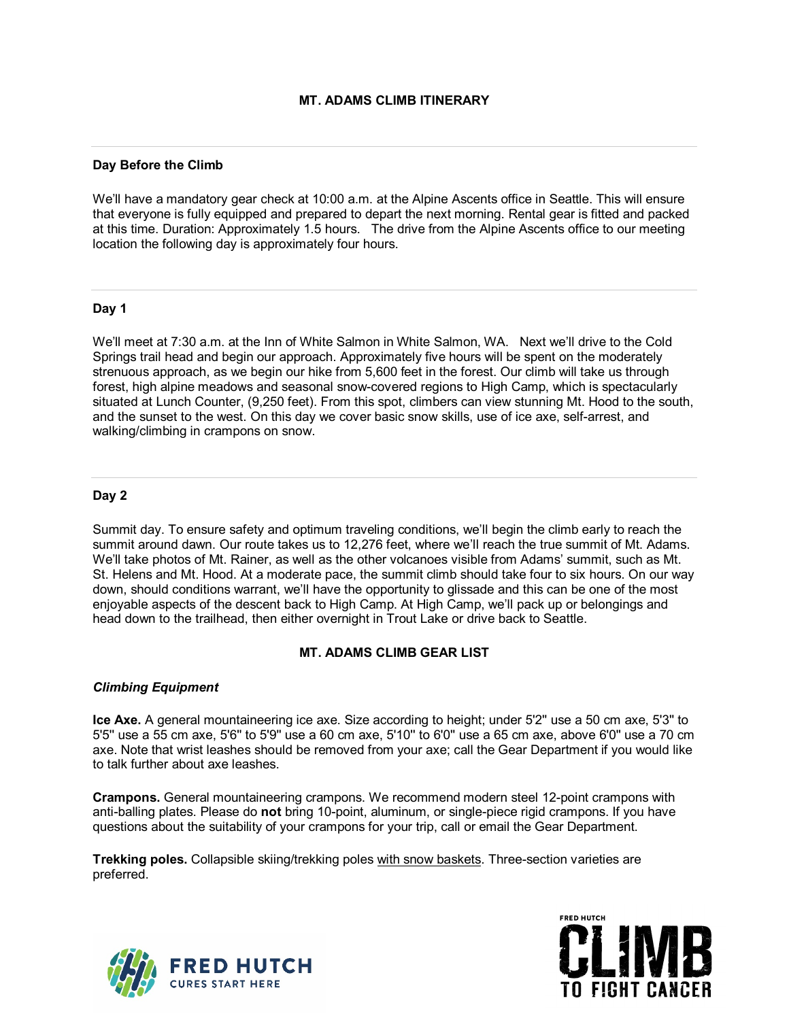## **Day Before the Climb**

We'll have a mandatory gear check at 10:00 a.m. at the Alpine Ascents office in Seattle. This will ensure that everyone is fully equipped and prepared to depart the next morning. Rental gear is fitted and packed at this time. Duration: Approximately 1.5 hours. The drive from the Alpine Ascents office to our meeting location the following day is approximately four hours.

#### **Day 1**

We'll meet at 7:30 a.m. at the Inn of White Salmon in White Salmon, WA. Next we'll drive to the Cold Springs trail head and begin our approach. Approximately five hours will be spent on the moderately strenuous approach, as we begin our hike from 5,600 feet in the forest. Our climb will take us through forest, high alpine meadows and seasonal snow-covered regions to High Camp, which is spectacularly situated at Lunch Counter, (9,250 feet). From this spot, climbers can view stunning Mt. Hood to the south, and the sunset to the west. On this day we cover basic snow skills, use of ice axe, self-arrest, and walking/climbing in crampons on snow.

## **Day 2**

Summit day. To ensure safety and optimum traveling conditions, we'll begin the climb early to reach the summit around dawn. Our route takes us to 12,276 feet, where we'll reach the true summit of Mt. Adams. We'll take photos of Mt. Rainer, as well as the other volcanoes visible from Adams' summit, such as Mt. St. Helens and Mt. Hood. At a moderate pace, the summit climb should take four to six hours. On our way down, should conditions warrant, we'll have the opportunity to glissade and this can be one of the most enjoyable aspects of the descent back to High Camp. At High Camp, we'll pack up or belongings and head down to the trailhead, then either overnight in Trout Lake or drive back to Seattle.

# **MT. ADAMS CLIMB GEAR LIST**

# *Climbing Equipment*

**Ice Axe.** A general mountaineering ice axe. Size according to height; under 5'2'' use a 50 cm axe, 5'3'' to 5'5'' use a 55 cm axe, 5'6'' to 5'9'' use a 60 cm axe, 5'10'' to 6'0'' use a 65 cm axe, above 6'0'' use a 70 cm axe. Note that wrist leashes should be removed from your axe; call the Gear Department if you would like to talk further about axe leashes.

**Crampons.** General mountaineering crampons. We recommend modern steel 12-point crampons with anti-balling plates. Please do **not** bring 10-point, aluminum, or single-piece rigid crampons. If you have questions about the suitability of your crampons for your trip, call or email the Gear Department.

**Trekking poles.** Collapsible skiing/trekking poles [with snow baskets.](https://www.alpineascents.com/blog/trekking-poles-need-snow-baskets/) Three-section varieties are preferred.



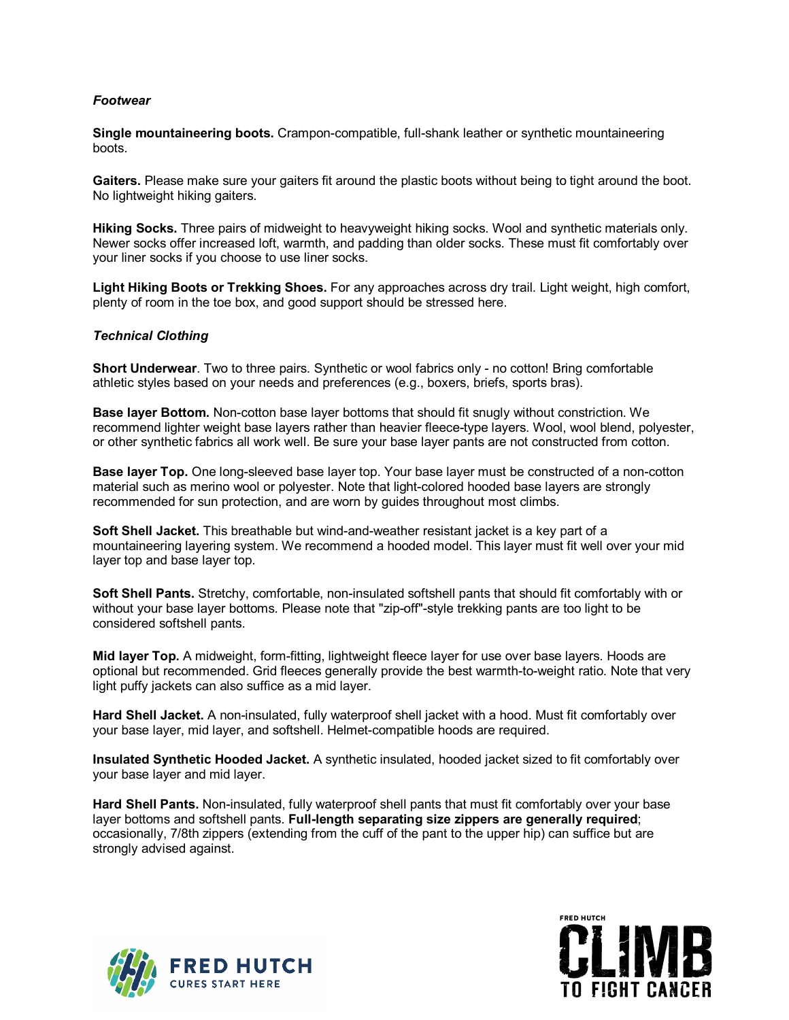# *Footwear*

**Single mountaineering boots.** Crampon-compatible, full-shank leather or synthetic mountaineering boots.

**Gaiters.** Please make sure your gaiters fit around the plastic boots without being to tight around the boot. No lightweight hiking gaiters.

**Hiking Socks.** Three pairs of midweight to heavyweight hiking socks. Wool and synthetic materials only. Newer socks offer increased loft, warmth, and padding than older socks. These must fit comfortably over your liner socks if you choose to use liner socks.

**Light Hiking Boots or Trekking Shoes.** For any approaches across dry trail. Light weight, high comfort, plenty of room in the toe box, and good support should be stressed here.

## *Technical Clothing*

**Short Underwear**. Two to three pairs. Synthetic or wool fabrics only - no cotton! Bring comfortable athletic styles based on your needs and preferences (e.g., boxers, briefs, sports bras).

**Base layer Bottom.** Non-cotton base layer bottoms that should fit snugly without constriction. We recommend lighter weight base layers rather than heavier fleece-type layers. Wool, wool blend, polyester, or other synthetic fabrics all work well. Be sure your base layer pants are not constructed from cotton.

**Base layer Top.** One long-sleeved base layer top. Your base layer must be constructed of a non-cotton material such as merino wool or polyester. Note that light-colored hooded base layers are strongly recommended for sun protection, and are worn by guides throughout most climbs.

**Soft Shell Jacket.** This breathable but wind-and-weather resistant jacket is a key part of a mountaineering layering system. We recommend a hooded model. This layer must fit well over your mid layer top and base layer top.

**Soft Shell Pants.** Stretchy, comfortable, non-insulated softshell pants that should fit comfortably with or without your base layer bottoms. Please note that "zip-off"-style trekking pants are too light to be considered softshell pants.

**Mid layer Top.** A midweight, form-fitting, lightweight fleece layer for use over base layers. Hoods are optional but recommended. Grid fleeces generally provide the best warmth-to-weight ratio. Note that very light puffy jackets can also suffice as a mid layer.

**Hard Shell Jacket.** A non-insulated, fully waterproof shell jacket with a hood. Must fit comfortably over your base layer, mid layer, and softshell. Helmet-compatible hoods are required.

**Insulated Synthetic Hooded Jacket.** A synthetic insulated, hooded jacket sized to fit comfortably over your base layer and mid layer.

**Hard Shell Pants.** Non-insulated, fully waterproof shell pants that must fit comfortably over your base layer bottoms and softshell pants. **Full-length separating size zippers are generally required**; occasionally, 7/8th zippers (extending from the cuff of the pant to the upper hip) can suffice but are strongly advised against.



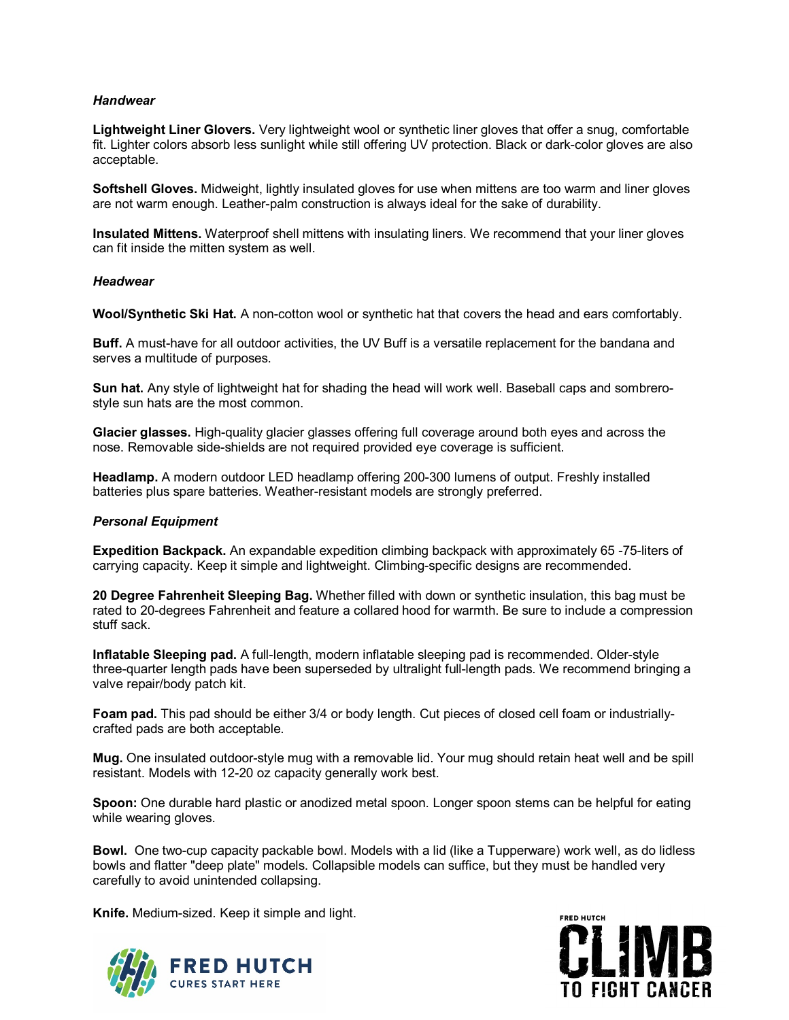## *Handwear*

**Lightweight Liner Glovers.** Very lightweight wool or synthetic liner gloves that offer a snug, comfortable fit. Lighter colors absorb less sunlight while still offering UV protection. Black or dark-color gloves are also acceptable.

**Softshell Gloves.** Midweight, lightly insulated gloves for use when mittens are too warm and liner gloves are not warm enough. Leather-palm construction is always ideal for the sake of durability.

**Insulated Mittens.** Waterproof shell mittens with insulating liners. We recommend that your liner gloves can fit inside the mitten system as well.

#### *Headwear*

**Wool/Synthetic Ski Hat.** A non-cotton wool or synthetic hat that covers the head and ears comfortably.

**Buff.** A must-have for all outdoor activities, the UV Buff is a versatile replacement for the bandana and serves a multitude of purposes.

**Sun hat.** Any style of lightweight hat for shading the head will work well. Baseball caps and sombrerostyle sun hats are the most common.

**Glacier glasses.** High-quality glacier glasses offering full coverage around both eyes and across the nose. Removable side-shields are not required provided eye coverage is sufficient.

**Headlamp.** A modern outdoor LED headlamp offering 200-300 lumens of output. Freshly installed batteries plus spare batteries. Weather-resistant models are strongly preferred.

#### *Personal Equipment*

**Expedition Backpack.** An expandable expedition climbing backpack with approximately 65 -75-liters of carrying capacity. Keep it simple and lightweight. Climbing-specific designs are recommended.

**20 Degree Fahrenheit Sleeping Bag.** Whether filled with down or synthetic insulation, this bag must be rated to 20-degrees Fahrenheit and feature a collared hood for warmth. Be sure to include a compression stuff sack.

**Inflatable Sleeping pad.** A full-length, modern inflatable sleeping pad is recommended. Older-style three-quarter length pads have been superseded by ultralight full-length pads. We recommend bringing a valve repair/body patch kit.

**Foam pad.** This pad should be either 3/4 or body length. Cut pieces of closed cell foam or industriallycrafted pads are both acceptable.

**Mug.** One insulated outdoor-style mug with a removable lid. Your mug should retain heat well and be spill resistant. Models with 12-20 oz capacity generally work best.

**Spoon:** One durable hard plastic or anodized metal spoon. Longer spoon stems can be helpful for eating while wearing gloves.

**Bowl.** One two-cup capacity packable bowl. Models with a lid (like a Tupperware) work well, as do lidless bowls and flatter "deep plate" models. Collapsible models can suffice, but they must be handled very carefully to avoid unintended collapsing.

**Knife.** Medium-sized. Keep it simple and light.